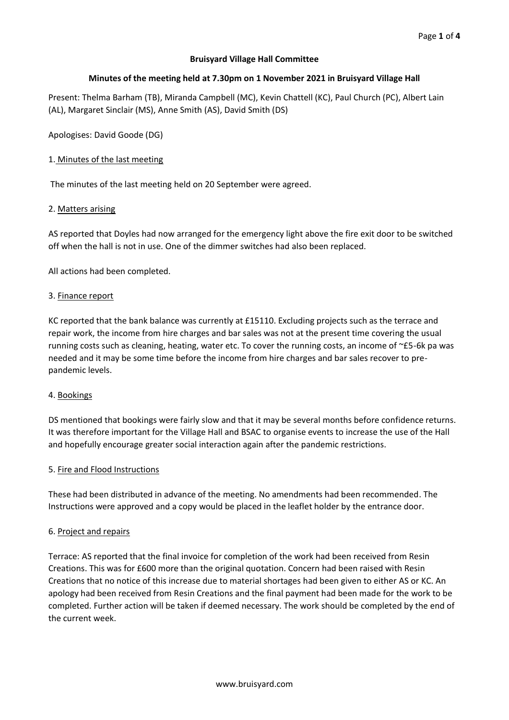## **Bruisyard Village Hall Committee**

## **Minutes of the meeting held at 7.30pm on 1 November 2021 in Bruisyard Village Hall**

Present: Thelma Barham (TB), Miranda Campbell (MC), Kevin Chattell (KC), Paul Church (PC), Albert Lain (AL), Margaret Sinclair (MS), Anne Smith (AS), David Smith (DS)

Apologises: David Goode (DG)

## 1. Minutes of the last meeting

The minutes of the last meeting held on 20 September were agreed.

## 2. Matters arising

AS reported that Doyles had now arranged for the emergency light above the fire exit door to be switched off when the hall is not in use. One of the dimmer switches had also been replaced.

All actions had been completed.

## 3. Finance report

KC reported that the bank balance was currently at £15110. Excluding projects such as the terrace and repair work, the income from hire charges and bar sales was not at the present time covering the usual running costs such as cleaning, heating, water etc. To cover the running costs, an income of ~£5-6k pa was needed and it may be some time before the income from hire charges and bar sales recover to prepandemic levels.

## 4. Bookings

DS mentioned that bookings were fairly slow and that it may be several months before confidence returns. It was therefore important for the Village Hall and BSAC to organise events to increase the use of the Hall and hopefully encourage greater social interaction again after the pandemic restrictions.

## 5. Fire and Flood Instructions

These had been distributed in advance of the meeting. No amendments had been recommended. The Instructions were approved and a copy would be placed in the leaflet holder by the entrance door.

## 6. Project and repairs

Terrace: AS reported that the final invoice for completion of the work had been received from Resin Creations. This was for £600 more than the original quotation. Concern had been raised with Resin Creations that no notice of this increase due to material shortages had been given to either AS or KC. An apology had been received from Resin Creations and the final payment had been made for the work to be completed. Further action will be taken if deemed necessary. The work should be completed by the end of the current week.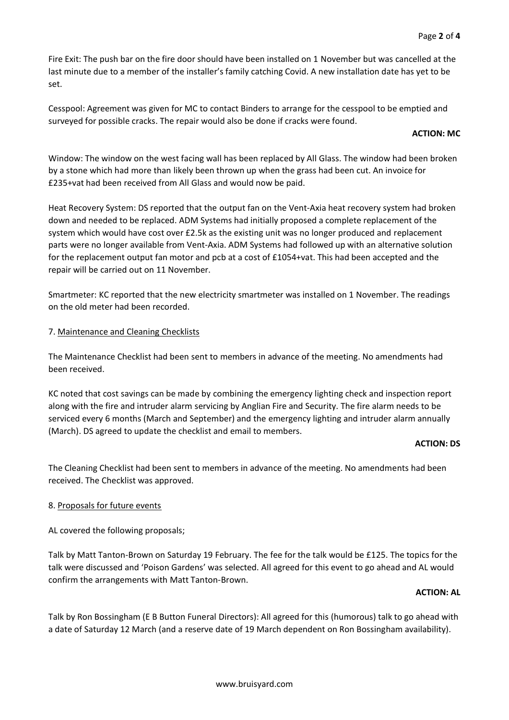Fire Exit: The push bar on the fire door should have been installed on 1 November but was cancelled at the last minute due to a member of the installer's family catching Covid. A new installation date has yet to be set.

Cesspool: Agreement was given for MC to contact Binders to arrange for the cesspool to be emptied and surveyed for possible cracks. The repair would also be done if cracks were found.

### **ACTION: MC**

Window: The window on the west facing wall has been replaced by All Glass. The window had been broken by a stone which had more than likely been thrown up when the grass had been cut. An invoice for £235+vat had been received from All Glass and would now be paid.

Heat Recovery System: DS reported that the output fan on the Vent-Axia heat recovery system had broken down and needed to be replaced. ADM Systems had initially proposed a complete replacement of the system which would have cost over £2.5k as the existing unit was no longer produced and replacement parts were no longer available from Vent-Axia. ADM Systems had followed up with an alternative solution for the replacement output fan motor and pcb at a cost of £1054+vat. This had been accepted and the repair will be carried out on 11 November.

Smartmeter: KC reported that the new electricity smartmeter was installed on 1 November. The readings on the old meter had been recorded.

## 7. Maintenance and Cleaning Checklists

The Maintenance Checklist had been sent to members in advance of the meeting. No amendments had been received.

KC noted that cost savings can be made by combining the emergency lighting check and inspection report along with the fire and intruder alarm servicing by Anglian Fire and Security. The fire alarm needs to be serviced every 6 months (March and September) and the emergency lighting and intruder alarm annually (March). DS agreed to update the checklist and email to members.

#### **ACTION: DS**

The Cleaning Checklist had been sent to members in advance of the meeting. No amendments had been received. The Checklist was approved.

## 8. Proposals for future events

AL covered the following proposals;

Talk by Matt Tanton-Brown on Saturday 19 February. The fee for the talk would be £125. The topics for the talk were discussed and 'Poison Gardens' was selected. All agreed for this event to go ahead and AL would confirm the arrangements with Matt Tanton-Brown.

## **ACTION: AL**

Talk by Ron Bossingham (E B Button Funeral Directors): All agreed for this (humorous) talk to go ahead with a date of Saturday 12 March (and a reserve date of 19 March dependent on Ron Bossingham availability).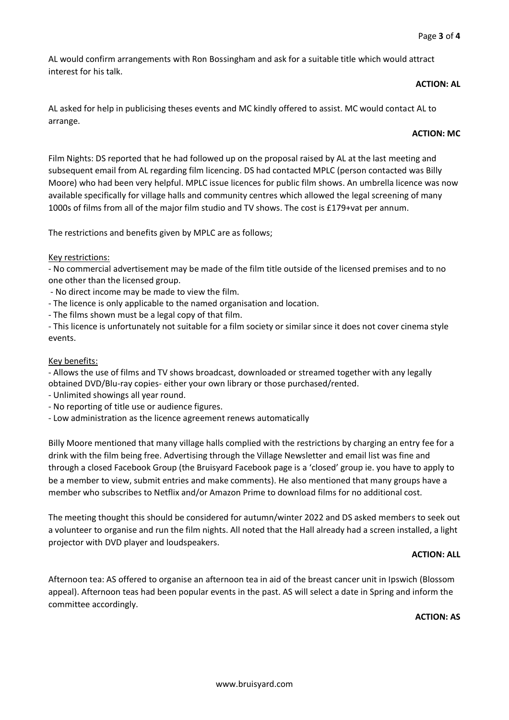AL would confirm arrangements with Ron Bossingham and ask for a suitable title which would attract interest for his talk.

### **ACTION: AL**

AL asked for help in publicising theses events and MC kindly offered to assist. MC would contact AL to arrange.

## **ACTION: MC**

Film Nights: DS reported that he had followed up on the proposal raised by AL at the last meeting and subsequent email from AL regarding film licencing. DS had contacted MPLC (person contacted was Billy Moore) who had been very helpful. MPLC issue licences for public film shows. An umbrella licence was now available specifically for village halls and community centres which allowed the legal screening of many 1000s of films from all of the major film studio and TV shows. The cost is £179+vat per annum.

The restrictions and benefits given by MPLC are as follows;

## Key restrictions:

- No commercial advertisement may be made of the film title outside of the licensed premises and to no one other than the licensed group.

- No direct income may be made to view the film.

- The licence is only applicable to the named organisation and location.
- The films shown must be a legal copy of that film.

- This licence is unfortunately not suitable for a film society or similar since it does not cover cinema style events.

## Key benefits:

- Allows the use of films and TV shows broadcast, downloaded or streamed together with any legally obtained DVD/Blu-ray copies- either your own library or those purchased/rented.

- Unlimited showings all year round.
- No reporting of title use or audience figures.
- Low administration as the licence agreement renews automatically

Billy Moore mentioned that many village halls complied with the restrictions by charging an entry fee for a drink with the film being free. Advertising through the Village Newsletter and email list was fine and through a closed Facebook Group (the Bruisyard Facebook page is a 'closed' group ie. you have to apply to be a member to view, submit entries and make comments). He also mentioned that many groups have a member who subscribes to Netflix and/or Amazon Prime to download films for no additional cost.

The meeting thought this should be considered for autumn/winter 2022 and DS asked members to seek out a volunteer to organise and run the film nights. All noted that the Hall already had a screen installed, a light projector with DVD player and loudspeakers.

## **ACTION: ALL**

Afternoon tea: AS offered to organise an afternoon tea in aid of the breast cancer unit in Ipswich (Blossom appeal). Afternoon teas had been popular events in the past. AS will select a date in Spring and inform the committee accordingly.

#### **ACTION: AS**